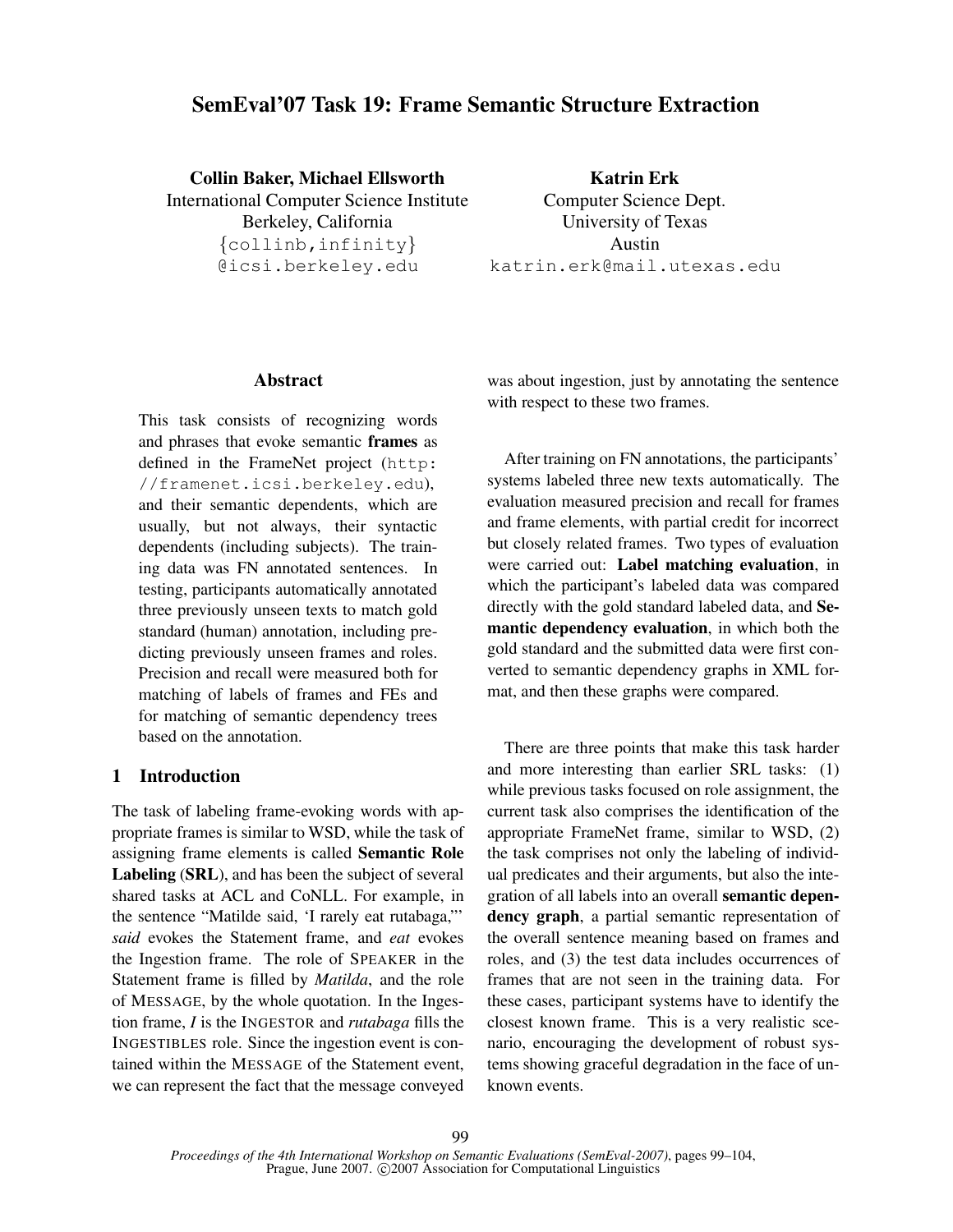# **SemEval'07 Task 19: Frame Semantic Structure Extraction**

**Collin Baker, Michael Ellsworth** International Computer Science Institute Berkeley, California {collinb,infinity} @icsi.berkeley.edu

**Katrin Erk** Computer Science Dept. University of Texas Austin katrin.erk@mail.utexas.edu

## **Abstract**

This task consists of recognizing words and phrases that evoke semantic **frames** as defined in the FrameNet project (http: //framenet.icsi.berkeley.edu), and their semantic dependents, which are usually, but not always, their syntactic dependents (including subjects). The training data was FN annotated sentences. In testing, participants automatically annotated three previously unseen texts to match gold standard (human) annotation, including predicting previously unseen frames and roles. Precision and recall were measured both for matching of labels of frames and FEs and for matching of semantic dependency trees based on the annotation.

# **1 Introduction**

The task of labeling frame-evoking words with appropriate frames is similar to WSD, while the task of assigning frame elements is called **Semantic Role Labeling** (**SRL**), and has been the subject of several shared tasks at ACL and CoNLL. For example, in the sentence "Matilde said, 'I rarely eat rutabaga,"' *said* evokes the Statement frame, and *eat* evokes the Ingestion frame. The role of SPEAKER in the Statement frame is filled by *Matilda*, and the role of MESSAGE, by the whole quotation. In the Ingestion frame, *I* is the INGESTOR and *rutabaga* fills the INGESTIBLES role. Since the ingestion event is contained within the MESSAGE of the Statement event, we can represent the fact that the message conveyed

was about ingestion, just by annotating the sentence with respect to these two frames.

After training on FN annotations, the participants' systems labeled three new texts automatically. The evaluation measured precision and recall for frames and frame elements, with partial credit for incorrect but closely related frames. Two types of evaluation were carried out: **Label matching evaluation**, in which the participant's labeled data was compared directly with the gold standard labeled data, and **Semantic dependency evaluation**, in which both the gold standard and the submitted data were first converted to semantic dependency graphs in XML format, and then these graphs were compared.

There are three points that make this task harder and more interesting than earlier SRL tasks: (1) while previous tasks focused on role assignment, the current task also comprises the identification of the appropriate FrameNet frame, similar to WSD, (2) the task comprises not only the labeling of individual predicates and their arguments, but also the integration of all labels into an overall **semantic dependency graph**, a partial semantic representation of the overall sentence meaning based on frames and roles, and (3) the test data includes occurrences of frames that are not seen in the training data. For these cases, participant systems have to identify the closest known frame. This is a very realistic scenario, encouraging the development of robust systems showing graceful degradation in the face of unknown events.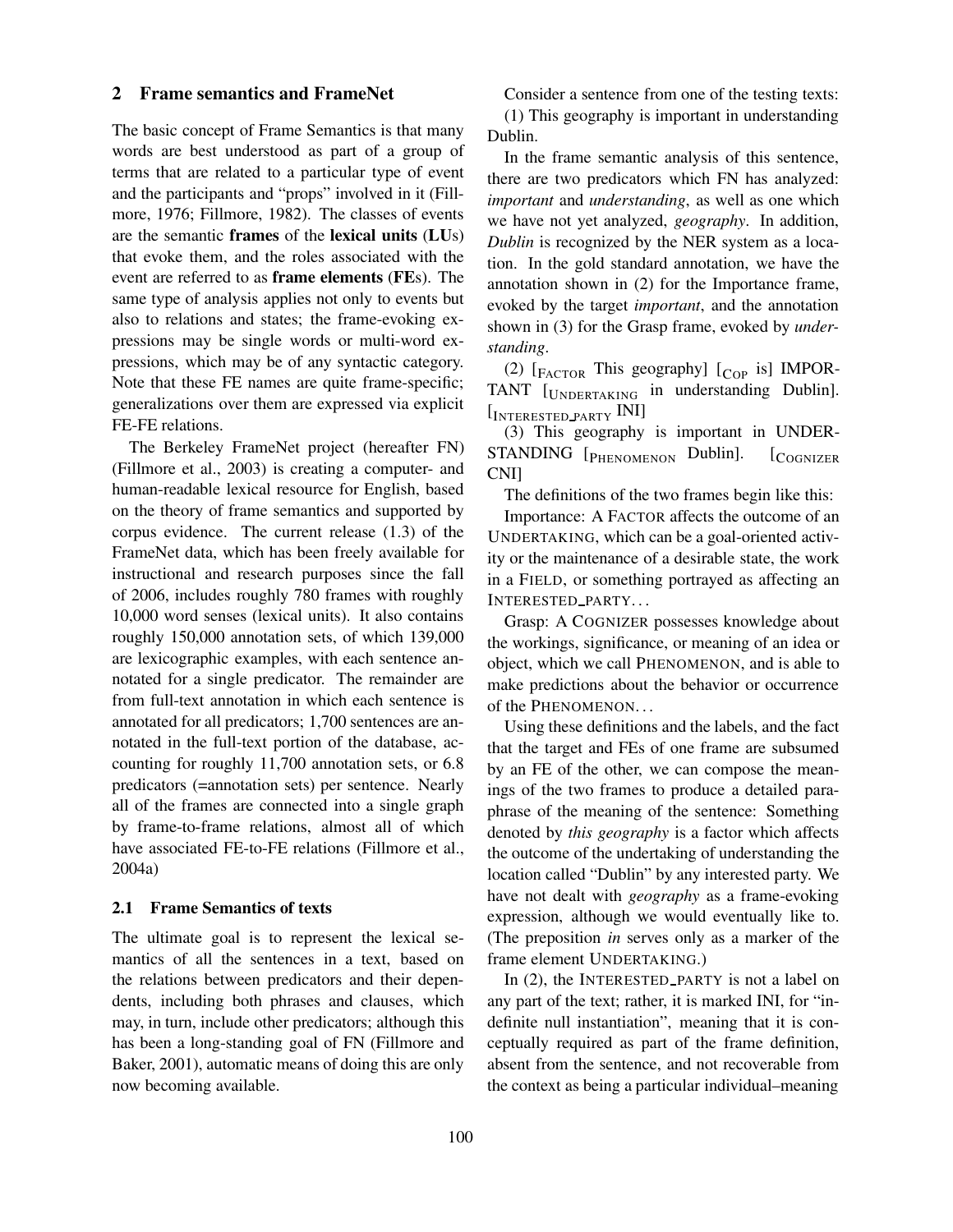# **2 Frame semantics and FrameNet**

The basic concept of Frame Semantics is that many words are best understood as part of a group of terms that are related to a particular type of event and the participants and "props" involved in it (Fillmore, 1976; Fillmore, 1982). The classes of events are the semantic **frames** of the **lexical units** (**LU**s) that evoke them, and the roles associated with the event are referred to as **frame elements** (**FE**s). The same type of analysis applies not only to events but also to relations and states; the frame-evoking expressions may be single words or multi-word expressions, which may be of any syntactic category. Note that these FE names are quite frame-specific; generalizations over them are expressed via explicit FE-FE relations.

The Berkeley FrameNet project (hereafter FN) (Fillmore et al., 2003) is creating a computer- and human-readable lexical resource for English, based on the theory of frame semantics and supported by corpus evidence. The current release (1.3) of the FrameNet data, which has been freely available for instructional and research purposes since the fall of 2006, includes roughly 780 frames with roughly 10,000 word senses (lexical units). It also contains roughly 150,000 annotation sets, of which 139,000 are lexicographic examples, with each sentence annotated for a single predicator. The remainder are from full-text annotation in which each sentence is annotated for all predicators; 1,700 sentences are annotated in the full-text portion of the database, accounting for roughly 11,700 annotation sets, or 6.8 predicators (=annotation sets) per sentence. Nearly all of the frames are connected into a single graph by frame-to-frame relations, almost all of which have associated FE-to-FE relations (Fillmore et al., 2004a)

#### **2.1 Frame Semantics of texts**

The ultimate goal is to represent the lexical semantics of all the sentences in a text, based on the relations between predicators and their dependents, including both phrases and clauses, which may, in turn, include other predicators; although this has been a long-standing goal of FN (Fillmore and Baker, 2001), automatic means of doing this are only now becoming available.

Consider a sentence from one of the testing texts:

(1) This geography is important in understanding Dublin.

In the frame semantic analysis of this sentence, there are two predicators which FN has analyzed: *important* and *understanding*, as well as one which we have not yet analyzed, *geography*. In addition, *Dublin* is recognized by the NER system as a location. In the gold standard annotation, we have the annotation shown in (2) for the Importance frame, evoked by the target *important*, and the annotation shown in (3) for the Grasp frame, evoked by *understanding*.

(2)  $\left[$ <sub>FACTOR</sub> This geography]  $\left[$ <sub>COP</sub> is J IMPOR-TANT [UNDERTAKING in understanding Dublin]. [INTERESTED\_PARTY INI]

(3) This geography is important in UNDER-STANDING [PHENOMENON Dublin]. [COGNIZER CNI]

The definitions of the two frames begin like this:

Importance: A FACTOR affects the outcome of an UNDERTAKING, which can be a goal-oriented activity or the maintenance of a desirable state, the work in a FIELD, or something portrayed as affecting an INTERESTED PARTY. . .

Grasp: A COGNIZER possesses knowledge about the workings, significance, or meaning of an idea or object, which we call PHENOMENON, and is able to make predictions about the behavior or occurrence of the PHENOMENON. . .

Using these definitions and the labels, and the fact that the target and FEs of one frame are subsumed by an FE of the other, we can compose the meanings of the two frames to produce a detailed paraphrase of the meaning of the sentence: Something denoted by *this geography* is a factor which affects the outcome of the undertaking of understanding the location called "Dublin" by any interested party. We have not dealt with *geography* as a frame-evoking expression, although we would eventually like to. (The preposition *in* serves only as a marker of the frame element UNDERTAKING.)

In (2), the INTERESTED PARTY is not a label on any part of the text; rather, it is marked INI, for "indefinite null instantiation", meaning that it is conceptually required as part of the frame definition, absent from the sentence, and not recoverable from the context as being a particular individual–meaning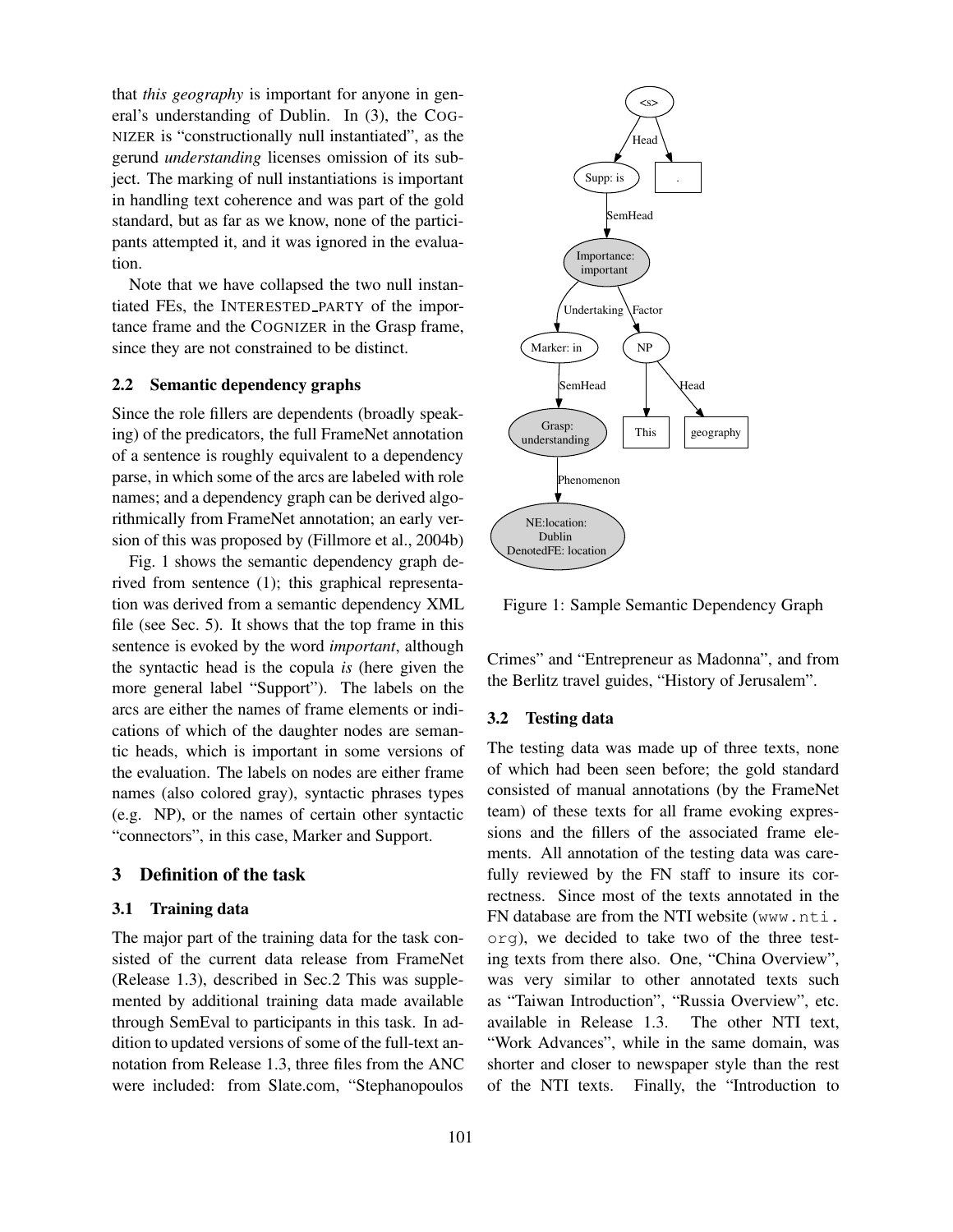that *this geography* is important for anyone in general's understanding of Dublin. In (3), the COG-NIZER is "constructionally null instantiated", as the gerund *understanding* licenses omission of its subject. The marking of null instantiations is important in handling text coherence and was part of the gold standard, but as far as we know, none of the participants attempted it, and it was ignored in the evaluation.

Note that we have collapsed the two null instantiated FEs, the INTERESTED PARTY of the importance frame and the COGNIZER in the Grasp frame, since they are not constrained to be distinct.

#### **2.2 Semantic dependency graphs**

Since the role fillers are dependents (broadly speaking) of the predicators, the full FrameNet annotation of a sentence is roughly equivalent to a dependency parse, in which some of the arcs are labeled with role names; and a dependency graph can be derived algorithmically from FrameNet annotation; an early version of this was proposed by (Fillmore et al., 2004b)

Fig. 1 shows the semantic dependency graph derived from sentence (1); this graphical representation was derived from a semantic dependency XML file (see Sec. 5). It shows that the top frame in this sentence is evoked by the word *important*, although the syntactic head is the copula *is* (here given the more general label "Support"). The labels on the arcs are either the names of frame elements or indications of which of the daughter nodes are semantic heads, which is important in some versions of the evaluation. The labels on nodes are either frame names (also colored gray), syntactic phrases types (e.g. NP), or the names of certain other syntactic "connectors", in this case, Marker and Support.

#### **3 Definition of the task**

#### **3.1 Training data**

The major part of the training data for the task consisted of the current data release from FrameNet (Release 1.3), described in Sec.2 This was supplemented by additional training data made available through SemEval to participants in this task. In addition to updated versions of some of the full-text annotation from Release 1.3, three files from the ANC were included: from Slate.com, "Stephanopoulos



Figure 1: Sample Semantic Dependency Graph

Crimes" and "Entrepreneur as Madonna", and from the Berlitz travel guides, "History of Jerusalem".

#### **3.2 Testing data**

The testing data was made up of three texts, none of which had been seen before; the gold standard consisted of manual annotations (by the FrameNet team) of these texts for all frame evoking expressions and the fillers of the associated frame elements. All annotation of the testing data was carefully reviewed by the FN staff to insure its correctness. Since most of the texts annotated in the FN database are from the NTI website (www.nti. org), we decided to take two of the three testing texts from there also. One, "China Overview", was very similar to other annotated texts such as "Taiwan Introduction", "Russia Overview", etc. available in Release 1.3. The other NTI text, "Work Advances", while in the same domain, was shorter and closer to newspaper style than the rest of the NTI texts. Finally, the "Introduction to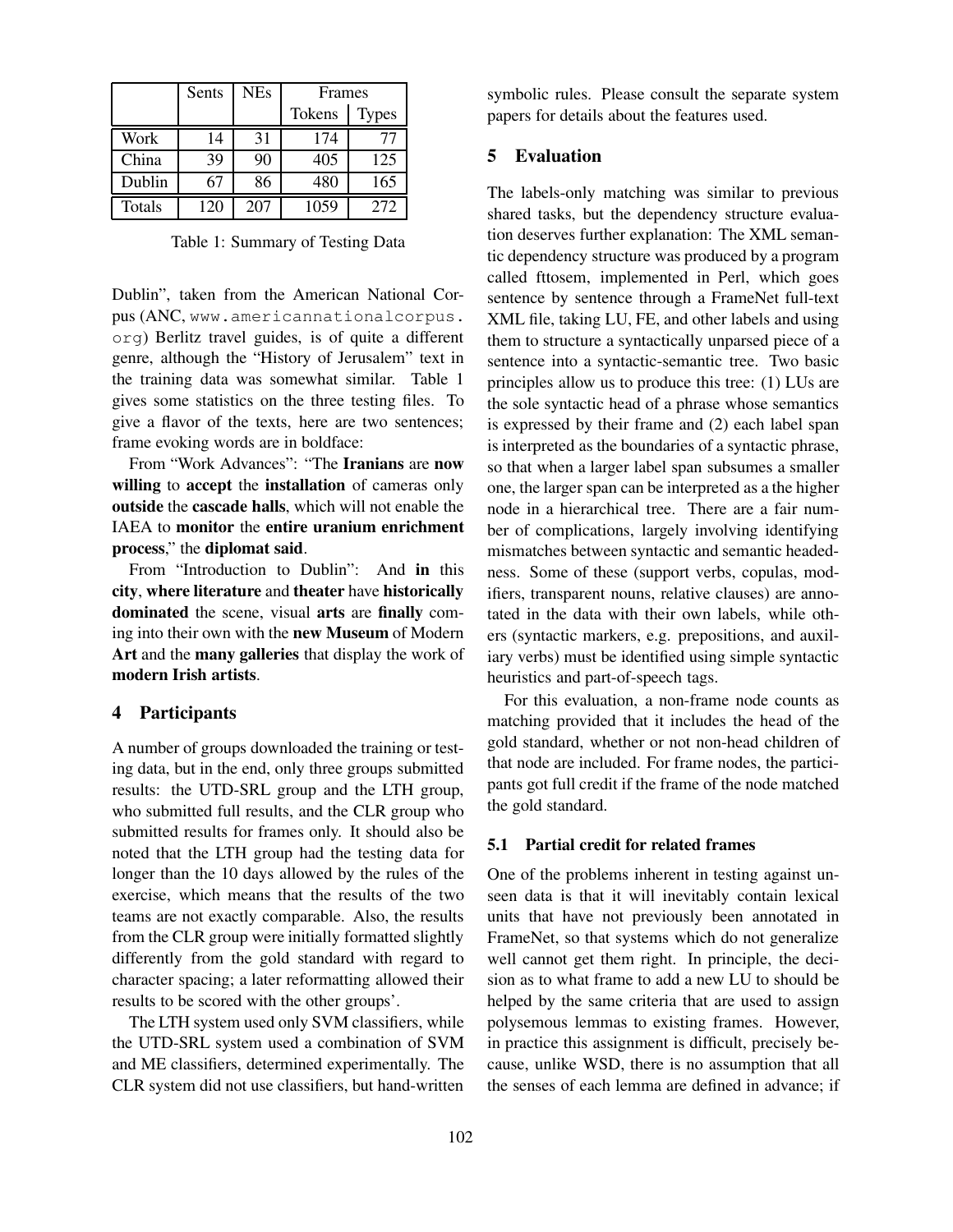|               | Sents | <b>NEs</b> | Frames |              |
|---------------|-------|------------|--------|--------------|
|               |       |            | Tokens | <b>Types</b> |
| Work          | 14    | 31         | 174    | 77           |
| China         | 39    | 90         | 405    | 125          |
| Dublin        | 67    | 86         | 480    | 165          |
| <b>Totals</b> | 120   | 207        | 1059   | 272          |

Table 1: Summary of Testing Data

Dublin", taken from the American National Corpus (ANC, www.americannationalcorpus. org) Berlitz travel guides, is of quite a different genre, although the "History of Jerusalem" text in the training data was somewhat similar. Table 1 gives some statistics on the three testing files. To give a flavor of the texts, here are two sentences; frame evoking words are in boldface:

From "Work Advances": "The **Iranians** are **now willing** to **accept** the **installation** of cameras only **outside** the **cascade halls**, which will not enable the IAEA to **monitor** the **entire uranium enrichment process**," the **diplomat said**.

From "Introduction to Dublin": And **in** this **city**, **where literature** and **theater** have **historically dominated** the scene, visual **arts** are **finally** coming into their own with the **new Museum** of Modern **Art** and the **many galleries** that display the work of **modern Irish artists**.

## **4 Participants**

A number of groups downloaded the training or testing data, but in the end, only three groups submitted results: the UTD-SRL group and the LTH group, who submitted full results, and the CLR group who submitted results for frames only. It should also be noted that the LTH group had the testing data for longer than the 10 days allowed by the rules of the exercise, which means that the results of the two teams are not exactly comparable. Also, the results from the CLR group were initially formatted slightly differently from the gold standard with regard to character spacing; a later reformatting allowed their results to be scored with the other groups'.

The LTH system used only SVM classifiers, while the UTD-SRL system used a combination of SVM and ME classifiers, determined experimentally. The CLR system did not use classifiers, but hand-written

symbolic rules. Please consult the separate system papers for details about the features used.

#### **5 Evaluation**

The labels-only matching was similar to previous shared tasks, but the dependency structure evaluation deserves further explanation: The XML semantic dependency structure was produced by a program called fttosem, implemented in Perl, which goes sentence by sentence through a FrameNet full-text XML file, taking LU, FE, and other labels and using them to structure a syntactically unparsed piece of a sentence into a syntactic-semantic tree. Two basic principles allow us to produce this tree: (1) LUs are the sole syntactic head of a phrase whose semantics is expressed by their frame and (2) each label span is interpreted as the boundaries of a syntactic phrase, so that when a larger label span subsumes a smaller one, the larger span can be interpreted as a the higher node in a hierarchical tree. There are a fair number of complications, largely involving identifying mismatches between syntactic and semantic headedness. Some of these (support verbs, copulas, modifiers, transparent nouns, relative clauses) are annotated in the data with their own labels, while others (syntactic markers, e.g. prepositions, and auxiliary verbs) must be identified using simple syntactic heuristics and part-of-speech tags.

For this evaluation, a non-frame node counts as matching provided that it includes the head of the gold standard, whether or not non-head children of that node are included. For frame nodes, the participants got full credit if the frame of the node matched the gold standard.

## **5.1 Partial credit for related frames**

One of the problems inherent in testing against unseen data is that it will inevitably contain lexical units that have not previously been annotated in FrameNet, so that systems which do not generalize well cannot get them right. In principle, the decision as to what frame to add a new LU to should be helped by the same criteria that are used to assign polysemous lemmas to existing frames. However, in practice this assignment is difficult, precisely because, unlike WSD, there is no assumption that all the senses of each lemma are defined in advance; if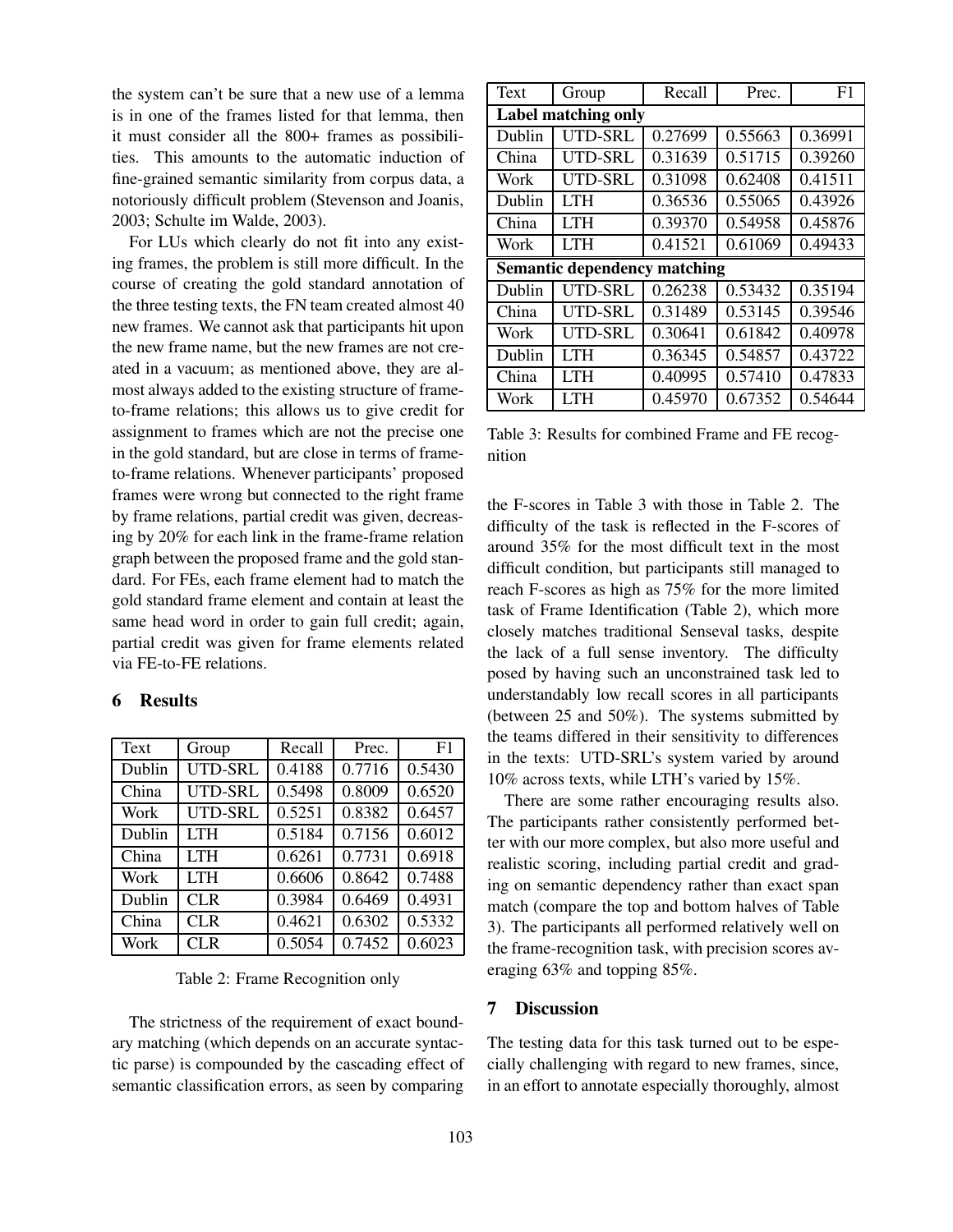the system can't be sure that a new use of a lemma is in one of the frames listed for that lemma, then it must consider all the 800+ frames as possibilities. This amounts to the automatic induction of fine-grained semantic similarity from corpus data, a notoriously difficult problem (Stevenson and Joanis, 2003; Schulte im Walde, 2003).

For LUs which clearly do not fit into any existing frames, the problem is still more difficult. In the course of creating the gold standard annotation of the three testing texts, the FN team created almost 40 new frames. We cannot ask that participants hit upon the new frame name, but the new frames are not created in a vacuum; as mentioned above, they are almost always added to the existing structure of frameto-frame relations; this allows us to give credit for assignment to frames which are not the precise one in the gold standard, but are close in terms of frameto-frame relations. Whenever participants' proposed frames were wrong but connected to the right frame by frame relations, partial credit was given, decreasing by 20% for each link in the frame-frame relation graph between the proposed frame and the gold standard. For FEs, each frame element had to match the gold standard frame element and contain at least the same head word in order to gain full credit; again, partial credit was given for frame elements related via FE-to-FE relations.

### **6 Results**

| Text   | Group          | Recall | Prec.               | F <sub>1</sub> |
|--------|----------------|--------|---------------------|----------------|
| Dublin | <b>UTD-SRL</b> | 0.4188 | 0.7716              | 0.5430         |
| China  | <b>UTD-SRL</b> | 0.5498 | 0.8009              | 0.6520         |
| Work   | <b>UTD-SRL</b> | 0.5251 | 0.8382              | 0.6457         |
| Dublin | <b>LTH</b>     | 0.5184 | 0.7156              | 0.6012         |
| China  | <b>LTH</b>     | 0.6261 | 0.7731              | 0.6918         |
| Work   | <b>LTH</b>     | 0.6606 | 0.8642              | 0.7488         |
| Dublin | <b>CLR</b>     | 0.3984 | 0.6469              | 0.4931         |
| China  | <b>CLR</b>     | 0.4621 | 0.6302              | 0.5332         |
| Work   | <b>CLR</b>     | 0.5054 | $\overline{0.7452}$ | 0.6023         |

Table 2: Frame Recognition only

The strictness of the requirement of exact boundary matching (which depends on an accurate syntactic parse) is compounded by the cascading effect of semantic classification errors, as seen by comparing

| Text                                | Group   | Recall  | Prec.   | F1      |  |  |  |
|-------------------------------------|---------|---------|---------|---------|--|--|--|
| <b>Label matching only</b>          |         |         |         |         |  |  |  |
| Dublin                              | UTD-SRL | 0.27699 | 0.55663 | 0.36991 |  |  |  |
| China                               | UTD-SRL | 0.31639 | 0.51715 | 0.39260 |  |  |  |
| Work                                | UTD-SRL | 0.31098 | 0.62408 | 0.41511 |  |  |  |
| Dublin                              | I TH    | 0.36536 | 0.55065 | 0.43926 |  |  |  |
| China                               | I TH    | 0.39370 | 0.54958 | 0.45876 |  |  |  |
| Work                                | LTH     | 0.41521 | 0.61069 | 0.49433 |  |  |  |
| <b>Semantic dependency matching</b> |         |         |         |         |  |  |  |
| Dublin                              | UTD-SRL | 0.26238 | 0.53432 | 0.35194 |  |  |  |
| China                               | UTD-SRL | 0.31489 | 0.53145 | 0.39546 |  |  |  |
| Work                                | UTD-SRL | 0.30641 | 0.61842 | 0.40978 |  |  |  |
| Dublin                              | I TH    | 0.36345 | 0.54857 | 0.43722 |  |  |  |
| China                               | I TH    | 0.40995 | 0.57410 | 0.47833 |  |  |  |
| Work                                | LTH     | 0.45970 | 0.67352 | 0.54644 |  |  |  |

Table 3: Results for combined Frame and FE recognition

the F-scores in Table 3 with those in Table 2. The difficulty of the task is reflected in the F-scores of around 35% for the most difficult text in the most difficult condition, but participants still managed to reach F-scores as high as 75% for the more limited task of Frame Identification (Table 2), which more closely matches traditional Senseval tasks, despite the lack of a full sense inventory. The difficulty posed by having such an unconstrained task led to understandably low recall scores in all participants (between 25 and 50%). The systems submitted by the teams differed in their sensitivity to differences in the texts: UTD-SRL's system varied by around 10% across texts, while LTH's varied by 15%.

There are some rather encouraging results also. The participants rather consistently performed better with our more complex, but also more useful and realistic scoring, including partial credit and grading on semantic dependency rather than exact span match (compare the top and bottom halves of Table 3). The participants all performed relatively well on the frame-recognition task, with precision scores averaging 63% and topping 85%.

# **7 Discussion**

The testing data for this task turned out to be especially challenging with regard to new frames, since, in an effort to annotate especially thoroughly, almost